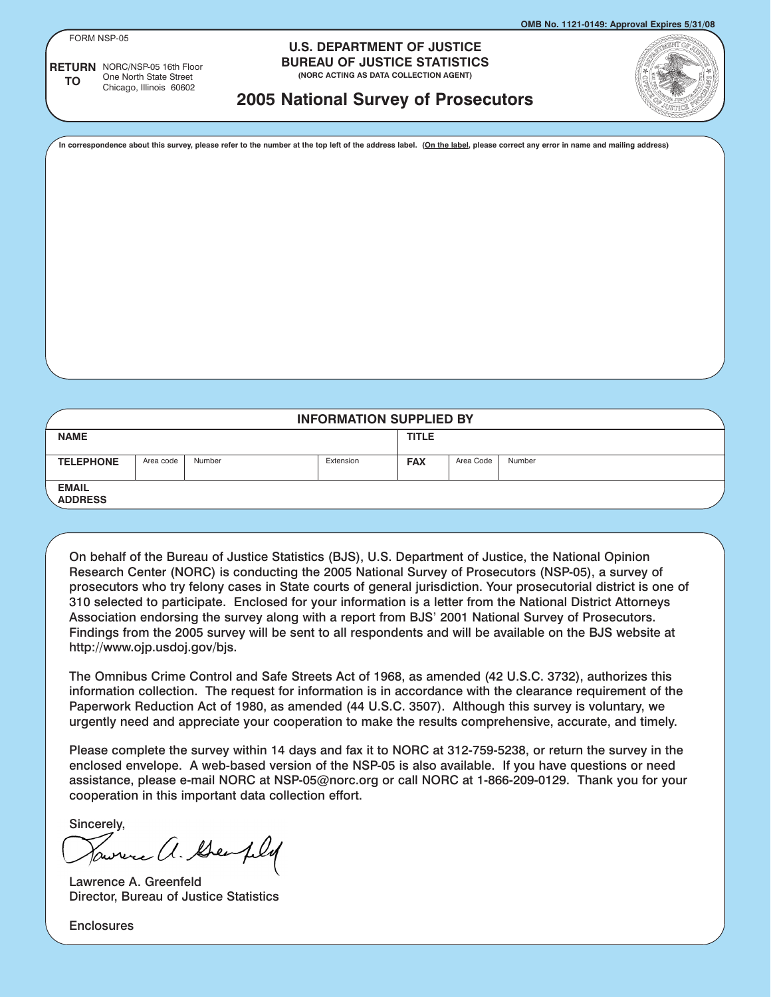FORM NSP-05

**TO**

**RETURN** NORC/NSP-05 16th Floor

One North State Street Chicago, Illinois 60602

#### **U.S. DEPARTMENT OF JUSTICE BUREAU OF JUSTICE STATISTICS**

**(NORC ACTING AS DATA COLLECTION AGENT)**

# **2005 National Survey of Prosecutors**

**In correspondence about this survey, please refer to the number at the top left of the address label. (On the label, please correct any error in name and mailing address)**

| <b>INFORMATION SUPPLIED BY</b> |           |        |           |              |           |        |
|--------------------------------|-----------|--------|-----------|--------------|-----------|--------|
| <b>NAME</b>                    |           |        |           | <b>TITLE</b> |           |        |
| <b>TELEPHONE</b>               | Area code | Number | Extension | <b>FAX</b>   | Area Code | Number |
| <b>EMAIL</b><br><b>ADDRESS</b> |           |        |           |              |           |        |

On behalf of the Bureau of Justice Statistics (BJS), U.S. Department of Justice, the National Opinion Research Center (NORC) is conducting the 2005 National Survey of Prosecutors (NSP-05), a survey of prosecutors who try felony cases in State courts of general jurisdiction. Your prosecutorial district is one of 310 selected to participate. Enclosed for your information is a letter from the National District Attorneys Association endorsing the survey along with a report from BJS' 2001 National Survey of Prosecutors. Findings from the 2005 survey will be sent to all respondents and will be available on the BJS website at http://www.ojp.usdoj.gov/bjs.

The Omnibus Crime Control and Safe Streets Act of 1968, as amended (42 U.S.C. 3732), authorizes this information collection. The request for information is in accordance with the clearance requirement of the Paperwork Reduction Act of 1980, as amended (44 U.S.C. 3507). Although this survey is voluntary, we urgently need and appreciate your cooperation to make the results comprehensive, accurate, and timely.

Please complete the survey within 14 days and fax it to NORC at 312-759-5238, or return the survey in the enclosed envelope. A web-based version of the NSP-05 is also available. If you have questions or need assistance, please e-mail NORC at NSP-05@norc.org or call NORC at 1-866-209-0129. Thank you for your cooperation in this important data collection effort.

Sincerely,

were a. Geophy

Lawrence A. Greenfeld Director, Bureau of Justice Statistics

**Enclosures**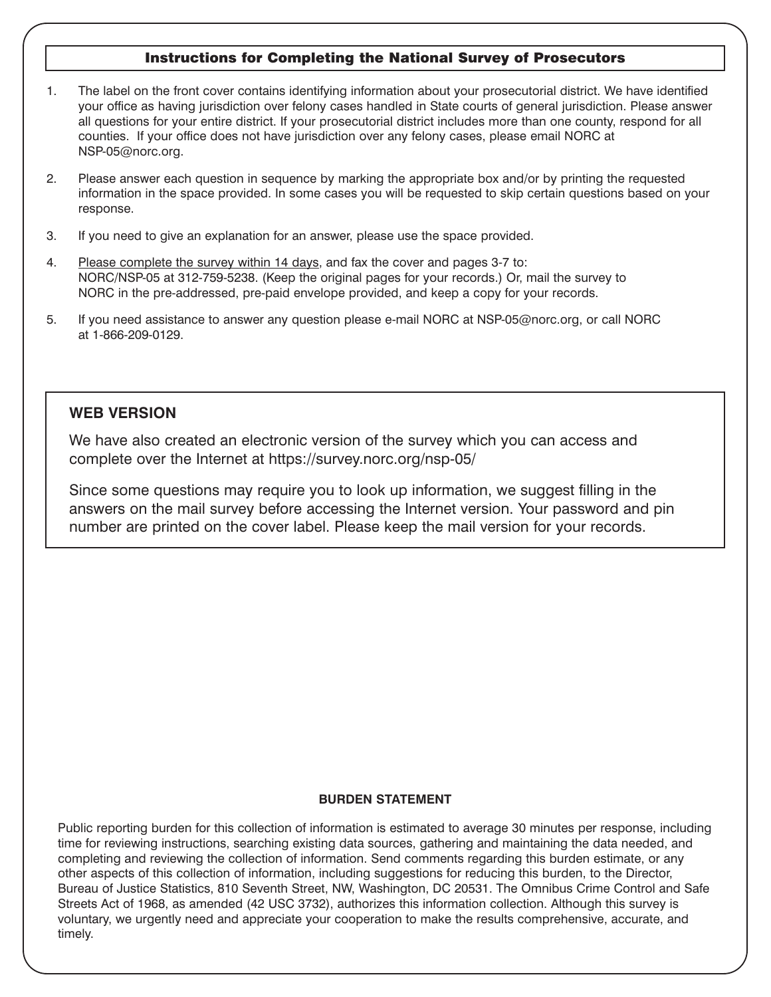# Instructions for Completing the National Survey of Prosecutors

- 1. The label on the front cover contains identifying information about your prosecutorial district. We have identified your office as having jurisdiction over felony cases handled in State courts of general jurisdiction. Please answer all questions for your entire district. If your prosecutorial district includes more than one county, respond for all counties. If your office does not have jurisdiction over any felony cases, please email NORC at NSP-05@norc.org.
- 2. Please answer each question in sequence by marking the appropriate box and/or by printing the requested information in the space provided. In some cases you will be requested to skip certain questions based on your response.
- 3. If you need to give an explanation for an answer, please use the space provided.
- 4. Please complete the survey within 14 days, and fax the cover and pages 3-7 to: NORC/NSP-05 at 312-759-5238. (Keep the original pages for your records.) Or, mail the survey to NORC in the pre-addressed, pre-paid envelope provided, and keep a copy for your records.
- 5. If you need assistance to answer any question please e-mail NORC at NSP-05@norc.org, or call NORC at 1-866-209-0129.

### **WEB VERSION**

We have also created an electronic version of the survey which you can access and complete over the Internet at https://survey.norc.org/nsp-05/

Since some questions may require you to look up information, we suggest filling in the answers on the mail survey before accessing the Internet version. Your password and pin number are printed on the cover label. Please keep the mail version for your records.

#### **BURDEN STATEMENT**

Public reporting burden for this collection of information is estimated to average 30 minutes per response, including time for reviewing instructions, searching existing data sources, gathering and maintaining the data needed, and completing and reviewing the collection of information. Send comments regarding this burden estimate, or any other aspects of this collection of information, including suggestions for reducing this burden, to the Director, Bureau of Justice Statistics, 810 Seventh Street, NW, Washington, DC 20531. The Omnibus Crime Control and Safe Streets Act of 1968, as amended (42 USC 3732), authorizes this information collection. Although this survey is voluntary, we urgently need and appreciate your cooperation to make the results comprehensive, accurate, and timely.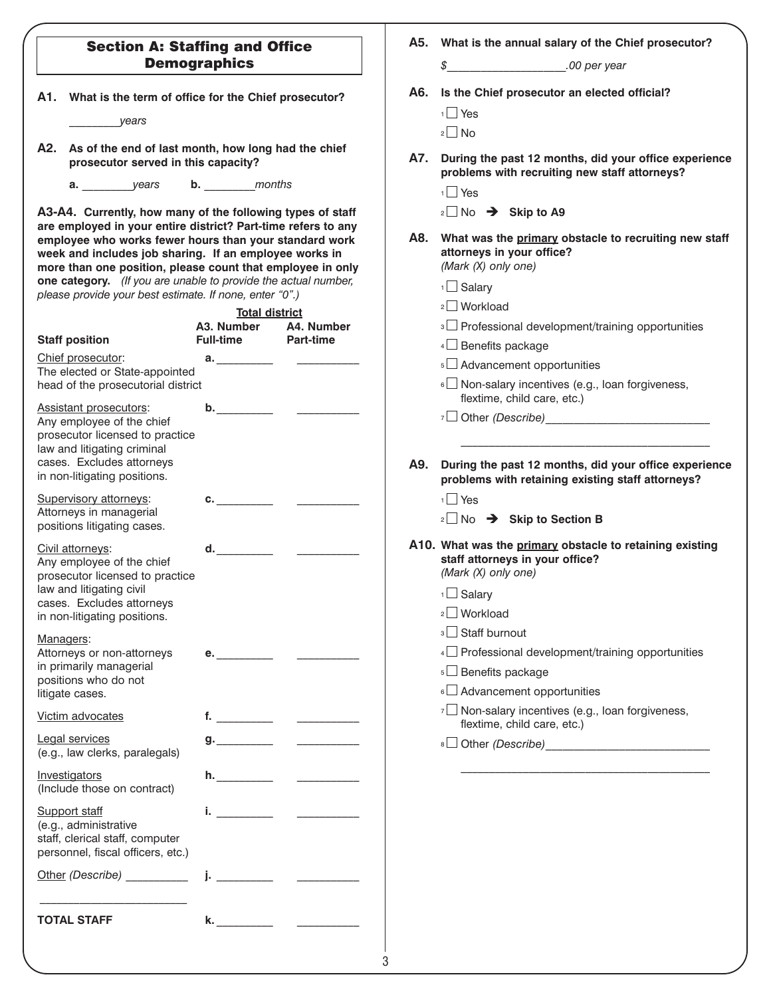|  | <b>Section A: Staffing and Office</b> |  |
|--|---------------------------------------|--|
|  | <b>Demographics</b>                   |  |

**A1. What is the term of office for the Chief prosecutor?**

*\_\_\_\_\_\_\_\_\_years* 

- **A2. As of the end of last month, how long had the chief prosecutor served in this capacity?**
	- **a.** *\_\_\_\_\_\_\_\_\_years* **b.** *\_\_\_\_\_\_\_\_\_months*

**A3-A4. Currently, how many of the following types of staff are employed in your entire district? Part-time refers to any employee who works fewer hours than your standard work week and includes job sharing. If an employee works in more than one position, please count that employee in only one category.** *(If you are unable to provide the actual number, please provide your best estimate. If none, enter "0".)*

|                                                                                                                                                                                           | <b>Total district</b>                       |                                           |
|-------------------------------------------------------------------------------------------------------------------------------------------------------------------------------------------|---------------------------------------------|-------------------------------------------|
| <b>Staff position</b>                                                                                                                                                                     | <b>Full-time</b>                            | A3. Number A4. Number<br><b>Part-time</b> |
| Chief prosecutor:<br>The elected or State-appointed<br>head of the prosecutorial district                                                                                                 | a. __________                               |                                           |
| <b>Assistant prosecutors:</b><br>Any employee of the chief<br>prosecutor licensed to practice<br>law and litigating criminal<br>cases. Excludes attorneys<br>in non-litigating positions. |                                             |                                           |
| Supervisory attorneys:<br>Attorneys in managerial<br>positions litigating cases.                                                                                                          | $\mathbf{C}$ . The contract of $\mathbf{C}$ |                                           |
| Civil attorneys:<br>Any employee of the chief<br>prosecutor licensed to practice<br>law and litigating civil<br>cases. Excludes attorneys<br>in non-litigating positions.                 | d.                                          |                                           |
| Managers:<br>Attorneys or non-attorneys<br>in primarily managerial<br>positions who do not<br>litigate cases.                                                                             | e.__________                                |                                           |
| Victim advocates                                                                                                                                                                          |                                             | <u> a shekara t</u>                       |
| <b>Legal services</b><br>(e.g., law clerks, paralegals)                                                                                                                                   |                                             |                                           |
| Investigators<br>(Include those on contract)                                                                                                                                              | h. $\qquad \qquad$                          |                                           |
| <b>Support staff</b><br>(e.g., administrative<br>staff, clerical staff, computer<br>personnel, fiscal officers, etc.)                                                                     | i. $\frac{1}{2}$                            |                                           |
| Other (Describe) __________                                                                                                                                                               | j. $\frac{1}{2}$                            |                                           |
| <b>TOTAL STAFF</b>                                                                                                                                                                        | k. ___________                              |                                           |

**A5. What is the annual salary of the Chief prosecutor?** *\$\_\_\_\_\_\_\_\_\_\_\_\_\_\_\_\_\_\_\_\_\_.00 per year*

**A6. Is the Chief prosecutor an elected official?**

|  | ×<br>× |
|--|--------|
|--|--------|

 $2 \square$  No

- **A7. During the past 12 months, did your office experience problems with recruiting new staff attorneys?**
	- <sup>1</sup> Yes
	- 2 No → Skip to A9
- **A8. What was the primary obstacle to recruiting new staff attorneys in your office?** *(Mark (X) only one)*
	- $1$  Salary
	- 2 Workload
	-
	- <sup>3</sup> Professional development/training opportunities
	- $4\Box$  Benefits package
	- <sup>5</sup> Advancement opportunities
	- $\frac{1}{6}$  Non-salary incentives (e.g., loan forgiveness, flextime, child care, etc.)

- **A9. During the past 12 months, did your office experience problems with retaining existing staff attorneys?**
	- <sup>1</sup> Yes
	- 2 No → Skip to Section B
- **A10. What was the primary obstacle to retaining existing staff attorneys in your office?** *(Mark (X) only one)*
	- $1$  Salary
	- $2$  Workload
	- <sup>3</sup> Staff burnout
	- $4 \Box$  Professional development/training opportunities
	- <sup>5</sup> Benefits package
	- $6 \Box$  Advancement opportunities
	- $7 \square$  Non-salary incentives (e.g., loan forgiveness, flextime, child care, etc.)

\_\_\_\_\_\_\_\_\_\_\_\_\_\_\_\_\_\_\_\_\_\_\_\_\_\_\_\_\_\_\_\_\_\_\_\_\_\_\_\_\_\_\_\_

<sup>8</sup> Other *(Describe)*\_\_\_\_\_\_\_\_\_\_\_\_\_\_\_\_\_\_\_\_\_\_\_\_\_\_\_\_\_

<sup>7</sup> Other *(Describe)*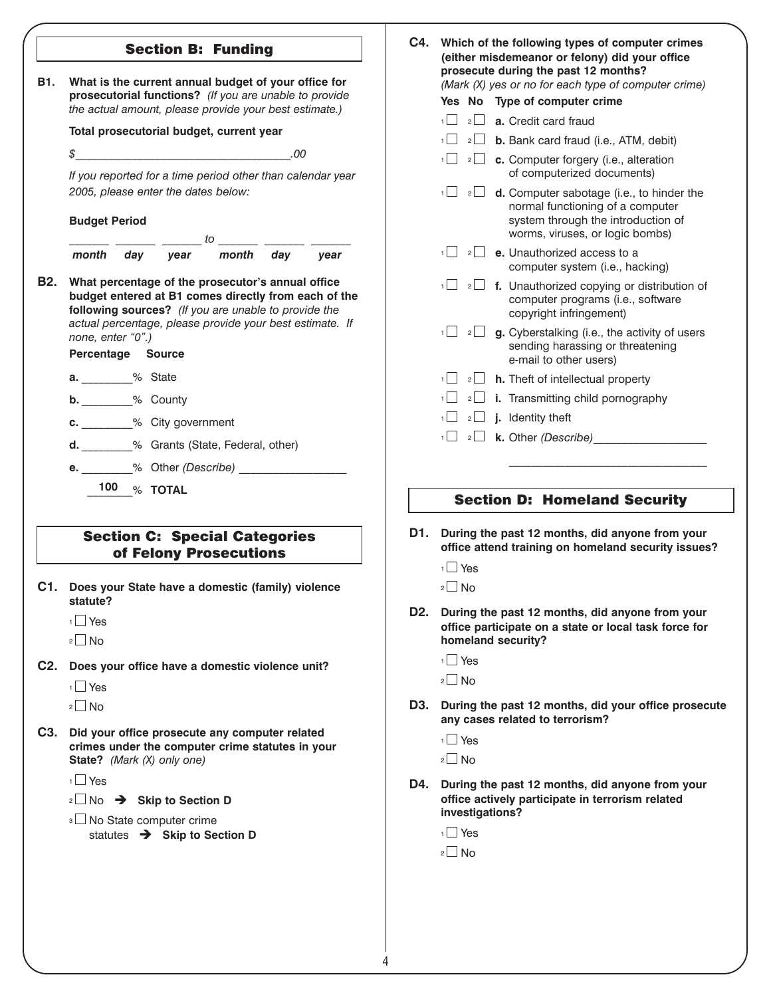|     | <b>Section B: Funding</b>                                                                                                                                                                                                         | C4. Which of the following types of computer crimes<br>(either misdemeanor or felony) did your office<br>prosecute during the past 12 months?                                 |  |
|-----|-----------------------------------------------------------------------------------------------------------------------------------------------------------------------------------------------------------------------------------|-------------------------------------------------------------------------------------------------------------------------------------------------------------------------------|--|
|     | B1. What is the current annual budget of your office for<br>prosecutorial functions? (If you are unable to provide                                                                                                                | (Mark (X) yes or no for each type of computer crime)                                                                                                                          |  |
|     | the actual amount, please provide your best estimate.)                                                                                                                                                                            | Yes No Type of computer crime                                                                                                                                                 |  |
|     | Total prosecutorial budget, current year                                                                                                                                                                                          | $\frac{1}{2}$ <b>a.</b> Credit card fraud                                                                                                                                     |  |
|     | .00                                                                                                                                                                                                                               | <b>b.</b> Bank card fraud (i.e., ATM, debit)                                                                                                                                  |  |
|     | $\mathcal{S}$<br>If you reported for a time period other than calendar year                                                                                                                                                       | $1 \Box$ 2 <b>c.</b> Computer forgery (i.e., alteration<br>of computerized documents)                                                                                         |  |
|     | 2005, please enter the dates below:<br><b>Budget Period</b><br>$\frac{1}{2}$ to $\frac{1}{2}$                                                                                                                                     | 1<br>$\sqrt{2}$ <b>d.</b> Computer sabotage (i.e., to hinder the<br>normal functioning of a computer<br>system through the introduction of<br>worms, viruses, or logic bombs) |  |
|     | month day<br>month day<br>year<br>year                                                                                                                                                                                            | $\sqrt{1 - z}$ e. Unauthorized access to a<br>computer system (i.e., hacking)                                                                                                 |  |
|     | B2. What percentage of the prosecutor's annual office<br>budget entered at B1 comes directly from each of the<br>following sources? (If you are unable to provide the<br>actual percentage, please provide your best estimate. If | $\frac{1}{2}$ f. Unauthorized copying or distribution of<br>computer programs (i.e., software<br>copyright infringement)                                                      |  |
|     | none, enter "0".)<br>Percentage Source                                                                                                                                                                                            | $1 \Box$ 2 g. Cyberstalking (i.e., the activity of users<br>sending harassing or threatening<br>e-mail to other users)                                                        |  |
|     | <b>a.</b> % State                                                                                                                                                                                                                 | $\frac{1}{2}$ 2 h. Theft of intellectual property                                                                                                                             |  |
|     | <b>b.</b> ________% County                                                                                                                                                                                                        | $1 \Box 2 \Box$ i. Transmitting child pornography                                                                                                                             |  |
|     |                                                                                                                                                                                                                                   | $\frac{1}{2}$ 2 <b>j.</b> Identity theft                                                                                                                                      |  |
|     | c. ________% City government                                                                                                                                                                                                      | $\frac{1}{2}$ 2 <b>k.</b> Other (Describe)                                                                                                                                    |  |
|     | d. ________% Grants (State, Federal, other)                                                                                                                                                                                       |                                                                                                                                                                               |  |
|     |                                                                                                                                                                                                                                   |                                                                                                                                                                               |  |
|     | 100 % TOTAL                                                                                                                                                                                                                       | <b>Section D: Homeland Security</b>                                                                                                                                           |  |
|     | <b>Section C: Special Categories</b>                                                                                                                                                                                              | D1. During the past 12 months, did anyone from your<br>office attend training on homeland security issues?                                                                    |  |
|     | of Felony Prosecutions                                                                                                                                                                                                            | $1$ Yes                                                                                                                                                                       |  |
|     | C1. Does your State have a domestic (family) violence<br>statute?                                                                                                                                                                 | $\mathbf{2}\Box$ No                                                                                                                                                           |  |
|     | $1$ Yes                                                                                                                                                                                                                           | D2. During the past 12 months, did anyone from your<br>office participate on a state or local task force for                                                                  |  |
|     | $2 \square$ No                                                                                                                                                                                                                    | homeland security?                                                                                                                                                            |  |
| C2. | Does your office have a domestic violence unit?                                                                                                                                                                                   | $1 \square$ Yes                                                                                                                                                               |  |
|     | $1$ Yes                                                                                                                                                                                                                           | $2 \square$ No                                                                                                                                                                |  |
|     | $2 \square$ No                                                                                                                                                                                                                    | D3. During the past 12 months, did your office prosecute<br>any cases related to terrorism?                                                                                   |  |
|     | C3. Did your office prosecute any computer related                                                                                                                                                                                | $1$ Yes                                                                                                                                                                       |  |
|     | crimes under the computer crime statutes in your<br>State? (Mark (X) only one)                                                                                                                                                    | $2 \square$ No                                                                                                                                                                |  |
|     | 1 <sup>N</sup> Yes                                                                                                                                                                                                                | D4. During the past 12 months, did anyone from your                                                                                                                           |  |
|     | $\frac{1}{2}$ No → Skip to Section D<br><sup>3</sup> No State computer crime                                                                                                                                                      | office actively participate in terrorism related<br>investigations?                                                                                                           |  |
|     |                                                                                                                                                                                                                                   |                                                                                                                                                                               |  |
|     |                                                                                                                                                                                                                                   | $1 \square$ Yes                                                                                                                                                               |  |
|     | statutes > Skip to Section D                                                                                                                                                                                                      | $2 \square$ No                                                                                                                                                                |  |

4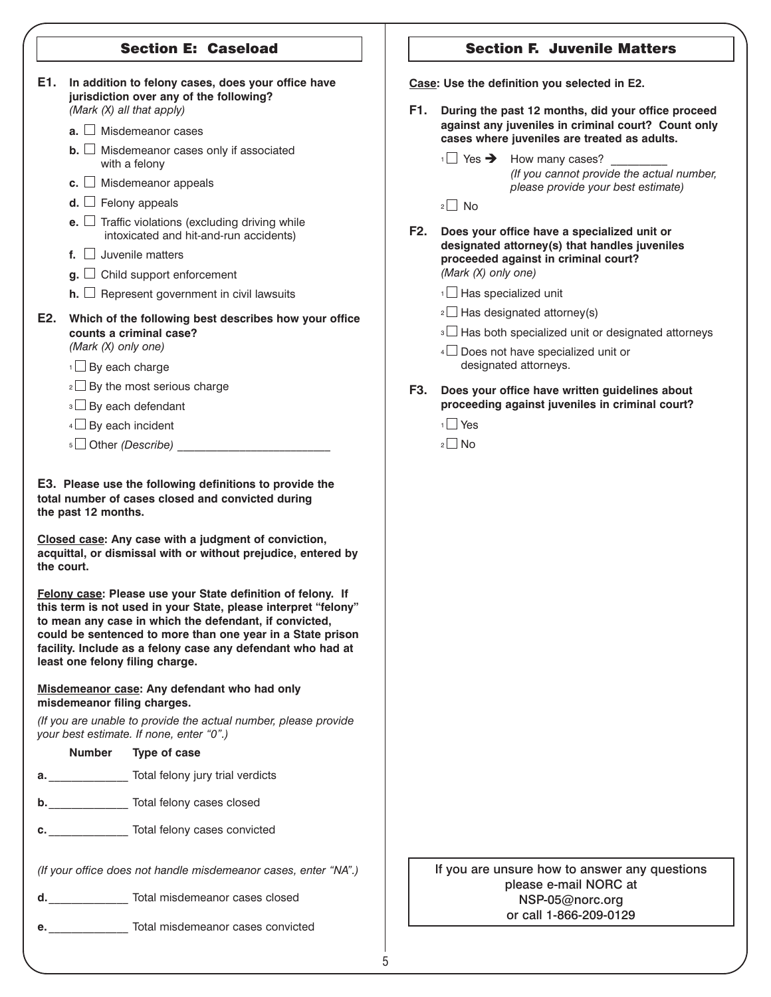# Section E: Caseload

| E1. |                          | jurisdiction over any of the following?<br>(Mark (X) all that apply)                                                                                                                                                                                                                                                                                    | In addition to felony cases, does your office have |  |     |                                       | Case: Use the definition you selected in E2.<br>F1. During the past 12 months, did your office proceed |
|-----|--------------------------|---------------------------------------------------------------------------------------------------------------------------------------------------------------------------------------------------------------------------------------------------------------------------------------------------------------------------------------------------------|----------------------------------------------------|--|-----|---------------------------------------|--------------------------------------------------------------------------------------------------------|
|     |                          | $\mathbf{a}$ . $\Box$ Misdemeanor cases                                                                                                                                                                                                                                                                                                                 |                                                    |  |     |                                       | against any juveniles in criminal court? Count only<br>cases where juveniles are treated as adults.    |
|     |                          | $\mathbf{b}$ . $\Box$ Misdemeanor cases only if associated<br>with a felony                                                                                                                                                                                                                                                                             |                                                    |  |     |                                       | $\sqrt{1}$ Yes $\rightarrow$ How many cases?<br>(If you cannot provide the actual number,              |
|     |                          | c. $\Box$ Misdemeanor appeals                                                                                                                                                                                                                                                                                                                           |                                                    |  |     |                                       | please provide your best estimate)                                                                     |
|     |                          | <b>d.</b> $\Box$ Felony appeals                                                                                                                                                                                                                                                                                                                         |                                                    |  |     | $2 \square$ No                        |                                                                                                        |
|     |                          | <b>e.</b> $\Box$ Traffic violations (excluding driving while<br>intoxicated and hit-and-run accidents)                                                                                                                                                                                                                                                  |                                                    |  |     |                                       | F2. Does your office have a specialized unit or<br>designated attorney(s) that handles juveniles       |
|     |                          | $f.$ Juvenile matters                                                                                                                                                                                                                                                                                                                                   |                                                    |  |     |                                       | proceeded against in criminal court?                                                                   |
|     |                          | $\mathbf{g}$ . $\Box$ Child support enforcement                                                                                                                                                                                                                                                                                                         |                                                    |  |     | (Mark (X) only one)                   |                                                                                                        |
|     |                          | $h.$ Represent government in civil lawsuits                                                                                                                                                                                                                                                                                                             |                                                    |  |     | $\frac{1}{1}$ Has specialized unit    |                                                                                                        |
| E2. |                          | Which of the following best describes how your office                                                                                                                                                                                                                                                                                                   |                                                    |  |     | $\sqrt{2}$ Has designated attorney(s) |                                                                                                        |
|     |                          | counts a criminal case?                                                                                                                                                                                                                                                                                                                                 |                                                    |  |     |                                       | <sup>3</sup> Has both specialized unit or designated attorneys                                         |
|     | (Mark (X) only one)      |                                                                                                                                                                                                                                                                                                                                                         |                                                    |  |     |                                       | 4 <b>Does not have specialized unit or</b>                                                             |
|     | $1$ By each charge       |                                                                                                                                                                                                                                                                                                                                                         |                                                    |  |     |                                       | designated attorneys.                                                                                  |
|     |                          | $2 \Box$ By the most serious charge                                                                                                                                                                                                                                                                                                                     |                                                    |  | F3. |                                       | Does your office have written guidelines about                                                         |
|     |                          | <sup>3</sup> By each defendant                                                                                                                                                                                                                                                                                                                          |                                                    |  |     |                                       | proceeding against juveniles in criminal court?                                                        |
|     | $4\Box$ By each incident |                                                                                                                                                                                                                                                                                                                                                         |                                                    |  |     | $1$ Yes                               |                                                                                                        |
|     |                          |                                                                                                                                                                                                                                                                                                                                                         |                                                    |  |     | $2 \square$ No                        |                                                                                                        |
|     | the past 12 months.      | E3. Please use the following definitions to provide the<br>total number of cases closed and convicted during<br>Closed case: Any case with a judgment of conviction,                                                                                                                                                                                    |                                                    |  |     |                                       |                                                                                                        |
|     | the court.               | acquittal, or dismissal with or without prejudice, entered by                                                                                                                                                                                                                                                                                           |                                                    |  |     |                                       |                                                                                                        |
|     |                          | Felony case: Please use your State definition of felony. If<br>this term is not used in your State, please interpret "felony"<br>to mean any case in which the defendant, if convicted,<br>could be sentenced to more than one year in a State prison<br>facility. Include as a felony case any defendant who had at<br>least one felony filing charge. |                                                    |  |     |                                       |                                                                                                        |
|     |                          | Misdemeanor case: Any defendant who had only<br>misdemeanor filing charges.                                                                                                                                                                                                                                                                             |                                                    |  |     |                                       |                                                                                                        |
|     |                          | (If you are unable to provide the actual number, please provide<br>your best estimate. If none, enter "0".)                                                                                                                                                                                                                                             |                                                    |  |     |                                       |                                                                                                        |
|     | <b>Number</b>            | <b>Type of case</b>                                                                                                                                                                                                                                                                                                                                     |                                                    |  |     |                                       |                                                                                                        |
|     |                          | <b>a. I.</b> Total felony jury trial verdicts                                                                                                                                                                                                                                                                                                           |                                                    |  |     |                                       |                                                                                                        |
|     |                          | b. _______________ Total felony cases closed                                                                                                                                                                                                                                                                                                            |                                                    |  |     |                                       |                                                                                                        |
|     |                          | c. Total felony cases convicted                                                                                                                                                                                                                                                                                                                         |                                                    |  |     |                                       |                                                                                                        |
|     |                          | (If your office does not handle misdemeanor cases, enter "NA".)                                                                                                                                                                                                                                                                                         |                                                    |  |     |                                       | If you are unsure how to answer any questions                                                          |
|     |                          | d. Total misdemeanor cases closed                                                                                                                                                                                                                                                                                                                       |                                                    |  |     |                                       | please e-mail NORC at<br>NSP-05@norc.org<br>or call 1-866-209-0129                                     |

Section F. Juvenile Matters

### 5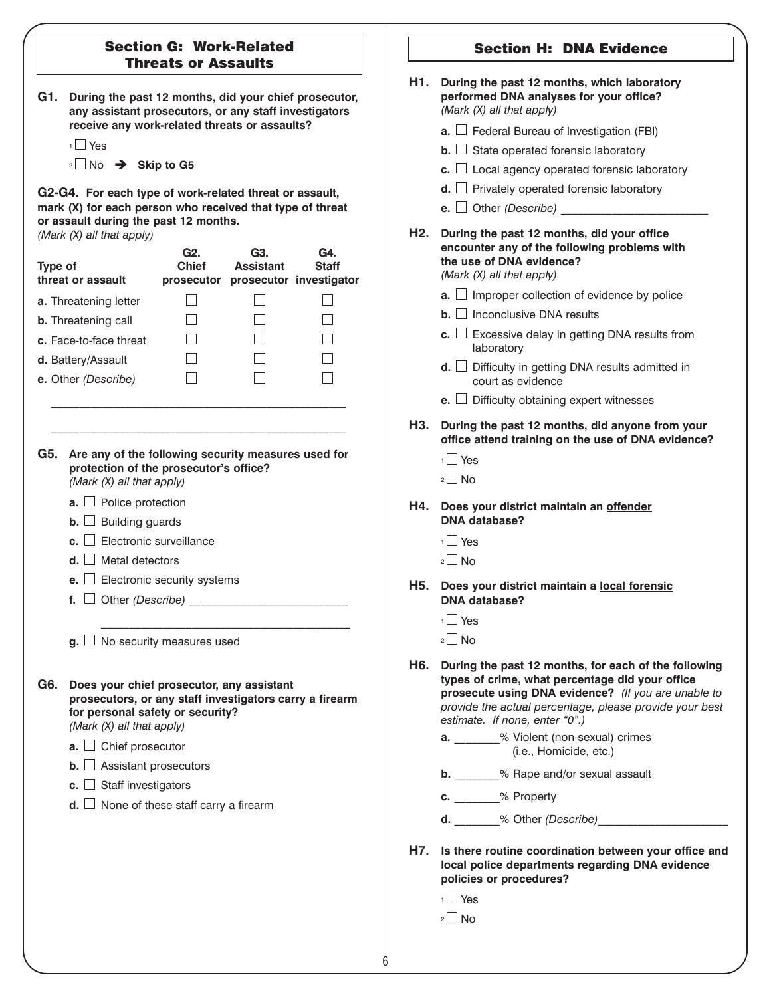# Section G: Work-Related Threats or Assaults

| G1. During the past 12 months, did your chief prosecutor, |
|-----------------------------------------------------------|
| any assistant prosecutors, or any staff investigators     |
| receive any work-related threats or assaults?             |

|   | u<br>۱<br>− |  |
|---|-------------|--|
| 2 |             |  |

2 No → Skip to G5

**G2-G4. For each type of work-related threat or assault, mark (X) for each person who received that type of threat or assault during the past 12 months.**  *(Mark (X) all that apply)*

| <b>Type of</b>         | threat or assault                                                                                                                                                                                                                                                                                                                                                                                     | G2.<br><b>Chief</b><br>prosecutor | G3.<br><b>Assistant</b> | G4.<br><b>Staff</b><br>prosecutor investigator |
|------------------------|-------------------------------------------------------------------------------------------------------------------------------------------------------------------------------------------------------------------------------------------------------------------------------------------------------------------------------------------------------------------------------------------------------|-----------------------------------|-------------------------|------------------------------------------------|
|                        | a. Threatening letter                                                                                                                                                                                                                                                                                                                                                                                 | $\blacksquare$                    |                         | $\mathsf{L}$                                   |
|                        | <b>b.</b> Threatening call                                                                                                                                                                                                                                                                                                                                                                            |                                   |                         |                                                |
| c. Face-to-face threat |                                                                                                                                                                                                                                                                                                                                                                                                       |                                   |                         |                                                |
| d. Battery/Assault     |                                                                                                                                                                                                                                                                                                                                                                                                       |                                   |                         |                                                |
| e. Other (Describe)    |                                                                                                                                                                                                                                                                                                                                                                                                       |                                   |                         |                                                |
| G5.                    | Are any of the following security measures used for<br>protection of the prosecutor's office?<br>(Mark (X) all that apply)<br><b>a.</b> $\Box$ Police protection<br><b>b.</b> $\Box$ Building guards                                                                                                                                                                                                  |                                   |                         |                                                |
|                        | <b>c.</b> $\Box$ Electronic surveillance                                                                                                                                                                                                                                                                                                                                                              |                                   |                         |                                                |
|                        | $d.$ Metal detectors                                                                                                                                                                                                                                                                                                                                                                                  |                                   |                         |                                                |
|                        | <b>e.</b> $\Box$ Electronic security systems                                                                                                                                                                                                                                                                                                                                                          |                                   |                         |                                                |
|                        | f. $\Box$ Other (Describe)                                                                                                                                                                                                                                                                                                                                                                            |                                   |                         |                                                |
|                        |                                                                                                                                                                                                                                                                                                                                                                                                       |                                   |                         |                                                |
| G6.                    | $\mathbf{g}$ . $\Box$ No security measures used<br>Does your chief prosecutor, any assistant<br>prosecutors, or any staff investigators carry a firearm<br>for personal safety or security?<br>(Mark (X) all that apply)<br>$\mathbf{a}$ . $\Box$ Chief prosecutor<br><b>b.</b> $\Box$ Assistant prosecutors<br>c. $\Box$ Staff investigators<br><b>d.</b> $\Box$ None of these staff carry a firearm |                                   |                         |                                                |
|                        |                                                                                                                                                                                                                                                                                                                                                                                                       |                                   |                         |                                                |

|       | <b>Section H: DNA Evidence</b>                                                                                                                                                                                                                                  |
|-------|-----------------------------------------------------------------------------------------------------------------------------------------------------------------------------------------------------------------------------------------------------------------|
| H1.   | During the past 12 months, which laboratory<br>performed DNA analyses for your office?<br>(Mark (X) all that apply)                                                                                                                                             |
|       | $\mathbf{a}$ . $\Box$ Federal Bureau of Investigation (FBI)                                                                                                                                                                                                     |
|       | $\mathbf{b}$ . State operated forensic laboratory                                                                                                                                                                                                               |
|       | c. $\Box$ Local agency operated forensic laboratory                                                                                                                                                                                                             |
|       | $d.$ $\Box$ Privately operated forensic laboratory                                                                                                                                                                                                              |
|       | <b>e.</b> $\Box$ Other ( <i>Describe</i> )                                                                                                                                                                                                                      |
| H2.   | During the past 12 months, did your office<br>encounter any of the following problems with<br>the use of DNA evidence?<br>(Mark $(X)$ all that apply)                                                                                                           |
|       | <b>a.</b> $\Box$ Improper collection of evidence by police                                                                                                                                                                                                      |
|       | $\mathbf{b}$ . $\Box$ Inconclusive DNA results                                                                                                                                                                                                                  |
|       | c. $\Box$ Excessive delay in getting DNA results from<br>laboratory                                                                                                                                                                                             |
|       | $d.$ $\Box$ Difficulty in getting DNA results admitted in<br>court as evidence                                                                                                                                                                                  |
|       | <b>e.</b> $\Box$ Difficulty obtaining expert witnesses                                                                                                                                                                                                          |
| H3. I | During the past 12 months, did anyone from your<br>office attend training on the use of DNA evidence?<br>$1$ Yes<br>$2$ No                                                                                                                                      |
|       | H4. Does your district maintain an offender<br><b>DNA</b> database?<br>1 Yes                                                                                                                                                                                    |
|       | $2 \square$ No                                                                                                                                                                                                                                                  |
| H5.   | Does your district maintain a local forensic<br>DNA database?                                                                                                                                                                                                   |
|       | $1 \square$ Yes                                                                                                                                                                                                                                                 |
|       | $2 \Box$ No                                                                                                                                                                                                                                                     |
|       | H6. During the past 12 months, for each of the following<br>types of crime, what percentage did your office<br>prosecute using DNA evidence? (If you are unable to<br>provide the actual percentage, please provide your best<br>estimate. If none, enter "0".) |
|       | a. ______ % Violent (non-sexual) crimes<br>(i.e., Homicide, etc.)                                                                                                                                                                                               |
|       | b. _______% Rape and/or sexual assault                                                                                                                                                                                                                          |
|       | c. _______% Property                                                                                                                                                                                                                                            |
|       | <b>d.</b> % Other (Describe)                                                                                                                                                                                                                                    |

- **H7. Is there routine coordination between your office and local police departments regarding DNA evidence policies or procedures?**
	- <sup>1</sup> Yes  $2 \square$  No

6